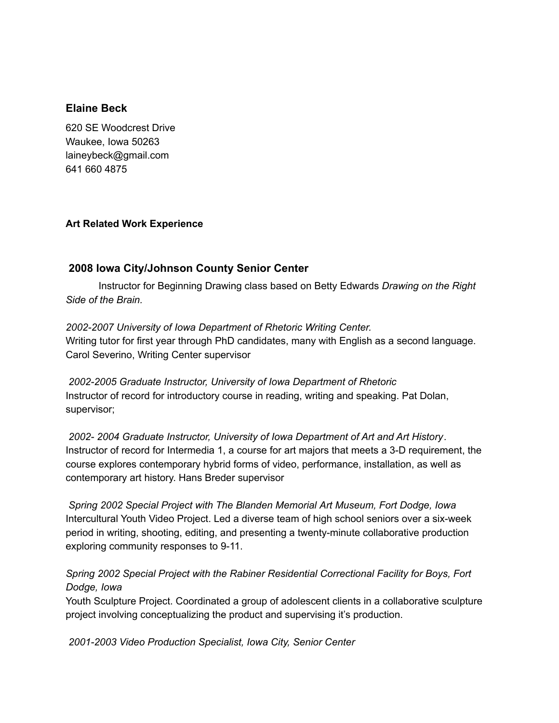#### **Elaine Beck**

620 SE Woodcrest Drive Waukee, Iowa 50263 laineybeck@gmail.com 641 660 4875

#### **Art Related Work Experience**

## **2008 Iowa City/Johnson County Senior Center**

Instructor for Beginning Drawing class based on Betty Edwards *Drawing on the Right Side of the Brain.*

*2002-2007 University of Iowa Department of Rhetoric Writing Center.* Writing tutor for first year through PhD candidates, many with English as a second language. Carol Severino, Writing Center supervisor

*2002-2005 Graduate Instructor, University of Iowa Department of Rhetoric* Instructor of record for introductory course in reading, writing and speaking. Pat Dolan, supervisor;

*2002- 2004 Graduate Instructor, University of Iowa Department of Art and Art History*. Instructor of record for Intermedia 1, a course for art majors that meets a 3-D requirement, the course explores contemporary hybrid forms of video, performance, installation, as well as contemporary art history. Hans Breder supervisor

*Spring 2002 Special Project with The Blanden Memorial Art Museum, Fort Dodge, Iowa* Intercultural Youth Video Project. Led a diverse team of high school seniors over a six-week period in writing, shooting, editing, and presenting a twenty-minute collaborative production exploring community responses to 9-11.

## *Spring 2002 Special Project with the Rabiner Residential Correctional Facility for Boys, Fort Dodge, Iowa*

Youth Sculpture Project. Coordinated a group of adolescent clients in a collaborative sculpture project involving conceptualizing the product and supervising it's production.

*2001-2003 Video Production Specialist, Iowa City, Senior Center*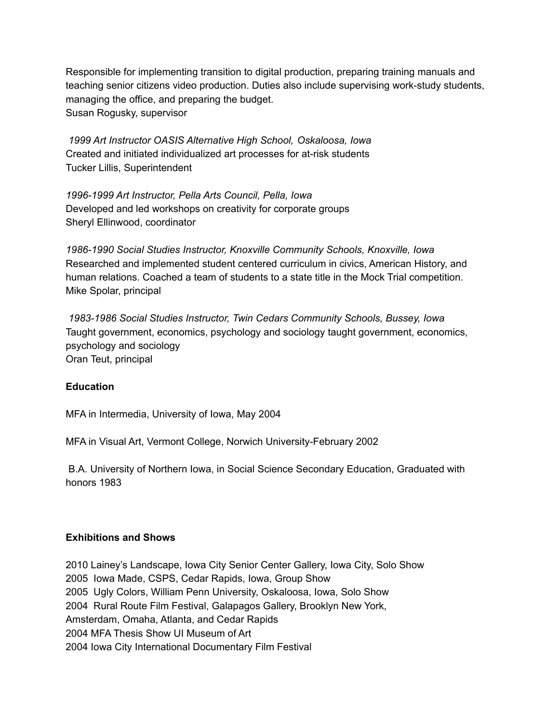Responsible for implementing transition to digital production, preparing training manuals and teaching senior citizens video production. Duties also include supervising work-study students, managing the office, and preparing the budget. Susan Rogusky, supervisor

*1999 Art Instructor OASIS Alternative High School, Oskaloosa, Iowa* Created and initiated individualized art processes for at-risk students Tucker Lillis, Superintendent

*1996-1999 Art Instructor, Pella Arts Council, Pella, Iowa* Developed and led workshops on creativity for corporate groups Sheryl Ellinwood, coordinator

*1986-1990 Social Studies Instructor, Knoxville Community Schools, Knoxville, Iowa* Researched and implemented student centered curriculum in civics, American History, and human relations. Coached a team of students to a state title in the Mock Trial competition. Mike Spolar, principal

*1983-1986 Social Studies Instructor, Twin Cedars Community Schools, Bussey, Iowa* Taught government, economics, psychology and sociology taught government, economics, psychology and sociology Oran Teut, principal

#### **Education**

MFA in Intermedia, University of Iowa, May 2004

MFA in Visual Art, Vermont College, Norwich University-February 2002

B.A. University of Northern Iowa, in Social Science Secondary Education, Graduated with honors 1983

## **Exhibitions and Shows**

 Lainey's Landscape, Iowa City Senior Center Gallery, Iowa City, Solo Show Iowa Made, CSPS, Cedar Rapids, Iowa, Group Show Ugly Colors, William Penn University, Oskaloosa, Iowa, Solo Show Rural Route Film Festival, Galapagos Gallery, Brooklyn New York, Amsterdam, Omaha, Atlanta, and Cedar Rapids MFA Thesis Show UI Museum of Art Iowa City International Documentary Film Festival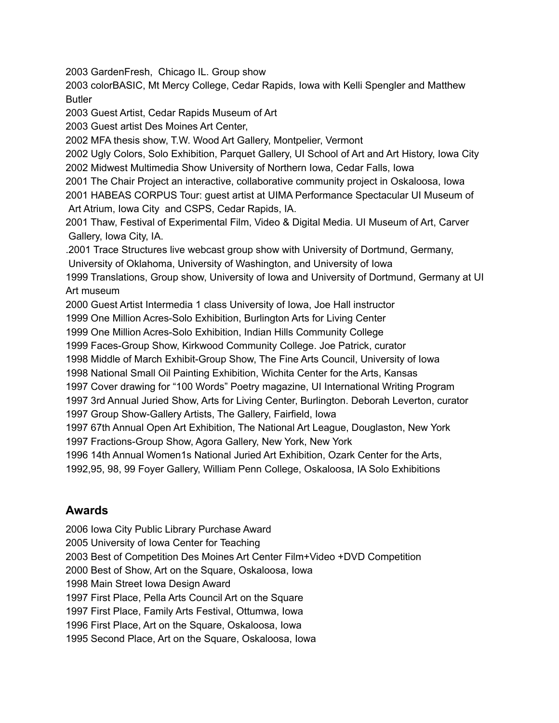GardenFresh, Chicago IL. Group show

 colorBASIC, Mt Mercy College, Cedar Rapids, Iowa with Kelli Spengler and Matthew Butler

Guest Artist, Cedar Rapids Museum of Art

Guest artist Des Moines Art Center,

MFA thesis show, T.W. Wood Art Gallery, Montpelier, Vermont

 Ugly Colors, Solo Exhibition, Parquet Gallery, UI School of Art and Art History, Iowa City Midwest Multimedia Show University of Northern Iowa, Cedar Falls, Iowa

 The Chair Project an interactive, collaborative community project in Oskaloosa, Iowa HABEAS CORPUS Tour: guest artist at UIMA Performance Spectacular UI Museum of Art Atrium, Iowa City and CSPS, Cedar Rapids, IA.

 Thaw, Festival of Experimental Film, Video & Digital Media. UI Museum of Art, Carver Gallery, Iowa City, IA.

.2001 Trace Structures live webcast group show with University of Dortmund, Germany,

University of Oklahoma, University of Washington, and University of Iowa

 Translations, Group show, University of Iowa and University of Dortmund, Germany at UI Art museum

Guest Artist Intermedia 1 class University of Iowa, Joe Hall instructor

One Million Acres-Solo Exhibition, Burlington Arts for Living Center

One Million Acres-Solo Exhibition, Indian Hills Community College

Faces-Group Show, Kirkwood Community College. Joe Patrick, curator

Middle of March Exhibit-Group Show, The Fine Arts Council, University of Iowa

National Small Oil Painting Exhibition, Wichita Center for the Arts, Kansas

Cover drawing for "100 Words" Poetry magazine, UI International Writing Program

3rd Annual Juried Show, Arts for Living Center, Burlington. Deborah Leverton, curator

Group Show-Gallery Artists, The Gallery, Fairfield, Iowa

67th Annual Open Art Exhibition, The National Art League, Douglaston, New York

Fractions-Group Show, Agora Gallery, New York, New York

14th Annual Women1s National Juried Art Exhibition, Ozark Center for the Arts,

1992,95, 98, 99 Foyer Gallery, William Penn College, Oskaloosa, IA Solo Exhibitions

# **Awards**

 Iowa City Public Library Purchase Award University of Iowa Center for Teaching Best of Competition Des Moines Art Center Film+Video +DVD Competition Best of Show, Art on the Square, Oskaloosa, Iowa Main Street Iowa Design Award First Place, Pella Arts Council Art on the Square First Place, Family Arts Festival, Ottumwa, Iowa First Place, Art on the Square, Oskaloosa, Iowa Second Place, Art on the Square, Oskaloosa, Iowa